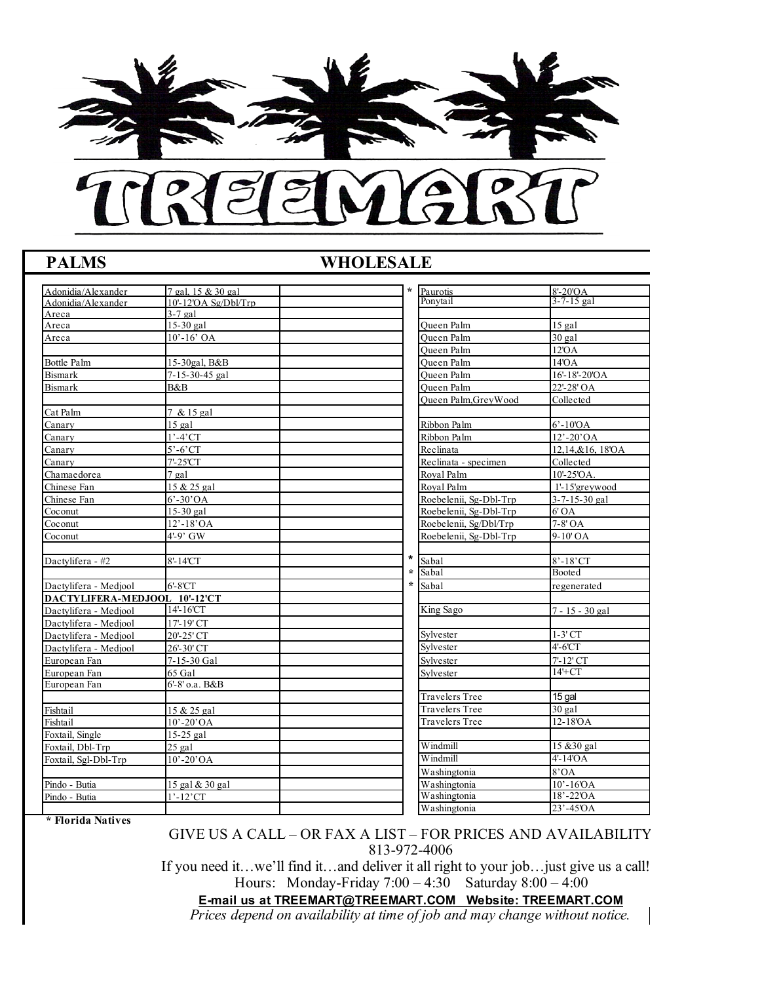

## **PALMS WHOLESALE**

| Adonidia/Alexander            | 7 gal, 15 & 30 gal      | $\star$ | Paurotis               | $8'-20'OA$            |
|-------------------------------|-------------------------|---------|------------------------|-----------------------|
| Adonidia/Alexander            | $10'$ -12'OA Sg/Dbl/Trp |         | Ponytail               | $3 - 7 - 15$ gal      |
| Areca                         | $3-7$ gal               |         |                        |                       |
| Areca                         | $15-30$ gal             |         | <b>Oueen Palm</b>      | $15$ gal              |
| Areca                         | $10' - 16'$ OA          |         | Oueen Palm             | $30$ gal              |
|                               |                         |         | Oueen Palm             | 12'OA                 |
| <b>Bottle Palm</b>            | 15-30gal, B&B           |         | Queen Palm             | 14'OA                 |
| <b>Bismark</b>                | 7-15-30-45 gal          |         | Oueen Palm             | 16'-18'-20'OA         |
| <b>Bismark</b>                | B&B                     |         | Oueen Palm             | 22'-28' OA            |
|                               |                         |         | Oueen Palm.GrevWood    | Collected             |
| Cat Palm                      | 7 & 15 gal              |         |                        |                       |
| Canary                        | $15$ gal                |         | Ribbon Palm            | $6' - 10'OA$          |
| Canary                        | $1'$ -4'CT              |         | Ribbon Palm            | $12' - 20' OA$        |
| Canary                        | $5'-6'$ CT              |         | Reclinata              | 12,14,&16, 18'OA      |
| Canarv                        | 7'-25'CT                |         | Reclinata - specimen   | Collected             |
| Chamaedorea                   | $7$ gal                 |         | Royal Palm             | $10' - 25'OA$ .       |
| Chinese Fan                   | 15 & 25 gal             |         | Roval Palm             | 1'-15'greywood        |
| Chinese Fan                   | $6^{\circ}$ -30'OA      |         | Roebelenii, Sg-Dbl-Trp | $3 - 7 - 15 - 30$ gal |
| Coconut                       | 15-30 gal               |         | Roebelenii, Sg-Dbl-Trp | 6'OA                  |
| Coconut                       | $12$ '-18'OA            |         | Roebelenii, Sg/Dbl/Trp | 7-8' OA               |
| Coconut                       | 4'-9' GW                |         | Roebelenii, Sg-Dbl-Trp | 9-10' OA              |
|                               |                         |         |                        |                       |
| Dactvlifera - #2              | 8'-14'CT                | $\star$ | Sabal                  | $8' - 18'$ CT         |
|                               |                         | $\star$ | Sabal                  | <b>Booted</b>         |
| Dactvlifera - Mediool         | $6'$ - $8'$ CT          | $\star$ | Sabal                  | regenerated           |
| DACTYLIFERA-MEDJOOL 10'-12'CT |                         |         |                        |                       |
| Dactvlifera - Mediool         | 14'-16'CT               |         | King Sago              | 7 - 15 - 30 gal       |
| Dactvlifera - Mediool         | 17'-19' CT              |         |                        |                       |
| Dactylifera - Medjool         | 20'-25' CT              |         | Sylvester              | $1-3'$ CT             |
| Dactvlifera - Mediool         | $26' - 30'$ CT          |         | Sylvester              | $4'-6'CT$             |
| European Fan                  | 7-15-30 Gal             |         | Svlvester              | 7'-12' CT             |
| European Fan                  | 65 Gal                  |         | Sylvester              | $14+CT$               |
| European Fan                  | 6'-8' o.a. B&B          |         |                        |                       |
|                               |                         |         | <b>Travelers Tree</b>  | 15 gal                |
| Fishtail                      | 15 & 25 gal             |         | <b>Travelers Tree</b>  | $30$ gal              |
| Fishtail                      | $10' - 20' OA$          |         | <b>Travelers Tree</b>  | $12-18$ OA            |
| Foxtail, Single               | $15-25$ gal             |         |                        |                       |
| Foxtail, Dbl-Trp              | $25$ gal                |         | Windmill               | 15 & 30 gal           |
| Foxtail, Sgl-Dbl-Trp          | $10' - 20' OA$          |         | Windmill               | $4'$ -14'OA           |
|                               |                         |         | Washingtonia           | 8'OA                  |
| Pindo - Butia                 | 15 gal & 30 gal         |         | Washingtonia           | $10' - 16'OA$         |
| Pindo - Butia                 | $1'$ -12'CT             |         | Washingtonia           | $18' - 22'OA$         |
|                               |                         |         | Washingtonia           | 23'-45'OA             |
|                               |                         |         |                        |                       |

**\* Florida Natives** 

GIVE US A CALL – OR FAX A LIST – FOR PRICES AND AVAILABILITY 813-972-4006

If you need it...we'll find it...and deliver it all right to your job... just give us a call! Hours: Monday-Friday 7:00 – 4:30 Saturday 8:00 – 4:00

**E-mail us at TREEMART@TREEMART.COM Website: TREEMART.COM**

*Prices depend on availability at time of job and may change without notice.*

 $\blacksquare$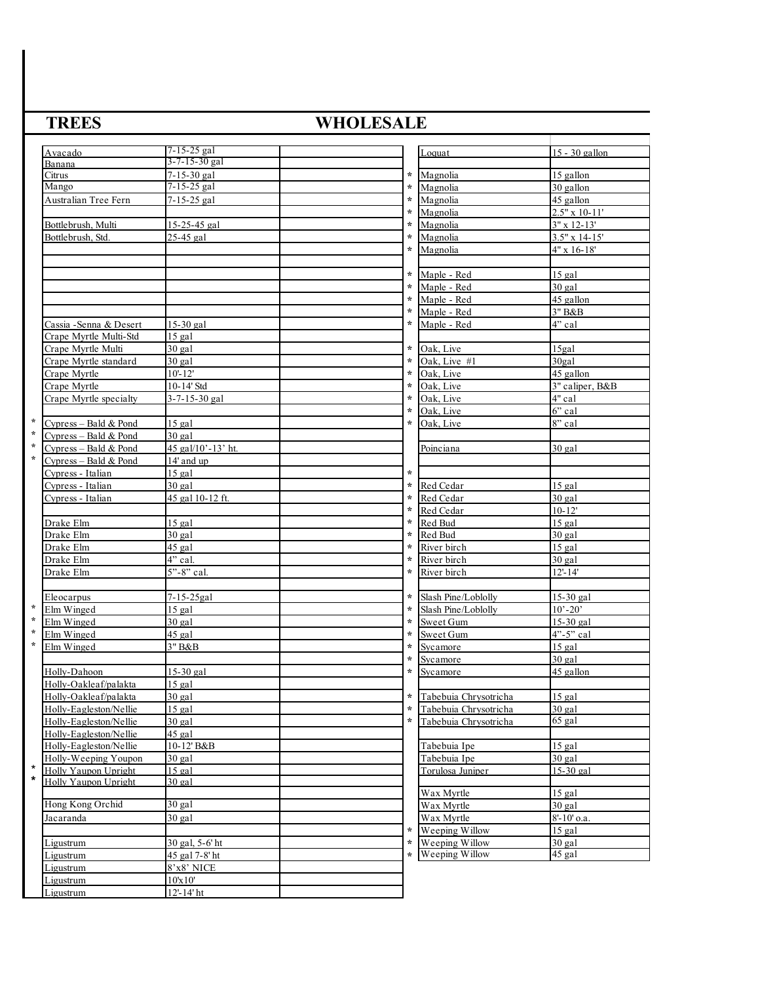# **TREES** WHOLESALE

|                    | Avacado                 | $7 - 15 - 25$ gal        |         | ∟oquat                | 15 - 30 gallon            |
|--------------------|-------------------------|--------------------------|---------|-----------------------|---------------------------|
|                    | Banana                  | 3-7-15-30 gal            |         |                       |                           |
|                    | Citrus                  | $\sqrt{7-15-30}$ gal     | $\star$ | Magnolia              | 15 gallon                 |
|                    | Mango                   | 7-15-25 gal              | $\star$ | Magnolia              | 30 gallon                 |
|                    | Australian Tree Fern    | 7-15-25 gal              | $\star$ | Magnolia              | 45 gallon                 |
|                    |                         |                          | $\star$ | Magnolia              | $2.5" \times 10-11'$      |
|                    | Bottlebrush, Multi      | 15-25-45 gal             | $\star$ | Magnolia              | $3" \times 12 - 13'$      |
|                    | Bottlebrush, Std.       | 25-45 gal                | $\star$ | Magnolia              | $3.5"$ x 14-15'           |
|                    |                         |                          | $\star$ | Magnolia              | $\overline{4"}$ x 16-18'  |
|                    |                         |                          |         |                       |                           |
|                    |                         |                          | $\star$ | Maple - Red           | $15$ gal                  |
|                    |                         |                          | $\star$ | Maple - Red           | $30$ $9a1$                |
|                    |                         |                          | $\star$ | Maple - Red           | 45_gallon                 |
|                    |                         |                          | $\star$ | Maple - Red           | $3"$ B&B                  |
|                    | Cassia - Senna & Desert | 15-30 gal                | $\ast$  | Maple - Red           | $\overline{4}$ " cal      |
|                    |                         |                          |         |                       |                           |
|                    | Crape Myrtle Multi-Std  | $15$ gal                 | $\star$ |                       |                           |
|                    | Crape Myrtle Multi      | $30$ gal                 |         | Oak, Live             | $15$ gal                  |
|                    | Crape Myrtle standard   | $30$ gal                 | $\star$ | Oak, Live #1          | 30 <sub>gal</sub>         |
|                    | Crape Myrtle            | $10 - 12'$               | $\star$ | Oak, Live             | 45 gallon                 |
|                    | Crape Myrtle            | 10-14' Std               | $\star$ | Oak, Live             | 3" caliper, B&B           |
|                    | Crape Myrtle specialty  | 3-7-15-30 gal            | $\star$ | Oak, Live             | $\overline{4}$ " cal      |
|                    |                         |                          | $\star$ | Oak. Live             | 6" cal                    |
| $\star$            | Cypress - Bald & Pond   | 15 gal                   | $\star$ | Oak, Live             | 8" cal                    |
| $\star$            | Cypress - Bald & Pond   | $30$ gal                 |         |                       |                           |
| $\star$            | Cypress - Bald & Pond   | 45 gal/10'-13' ht.       |         | Poinciana             | $30$ gal                  |
| $\star$            | Cypress - Bald & Pond   | 14' and up               |         |                       |                           |
|                    | Cypress - Italian       | $15$ gal                 | $\star$ |                       |                           |
|                    | Cypress - Italian       | $30$ gal                 | $\star$ | Red Cedar             | $15$ gal                  |
|                    | Cypress - Italian       | 45 gal 10-12 ft.         | $\star$ | Red Cedar             | $30$ gal                  |
|                    |                         |                          | $\star$ | Red Cedar             | $10 - 12'$                |
|                    | Drake Elm               | $15$ gal                 | $\star$ | Red Bud               | $15$ gal                  |
|                    | Drake Elm               | $30$ gal                 | $\star$ | Red Bud               | $30$ gal                  |
|                    | Drake Elm               | $45$ gal                 | $\star$ | River birch           | $15$ gal                  |
|                    | Drake Elm               | 4" cal.                  | $\star$ | River birch           | $30$ gal                  |
|                    | Drake Elm               | $\overline{5}$ "-8" cal. | $\star$ | River birch           | $12 - 14'$                |
|                    |                         |                          |         |                       |                           |
|                    | Eleocarpus              | $7 - 15 - 25$ gal        | $\star$ | Slash Pine/Loblolly   | 15-30 gal                 |
| $\star$            | Elm Winged              | $15$ gal                 | $\star$ | Slash Pine/Loblolly   | $10^{\circ} - 20^{\circ}$ |
| $\star$            | Elm Winged              | $30$ gal                 | $\star$ | Sweet Gum             | 15-30 gal                 |
| $\star$            | Elm Winged              | 45 gal                   | $\star$ | Sweet Gum             | 4"-5" cal                 |
| $\star$            | Elm Winged              | 3" B&B                   | $\star$ | Sycamore              | $15$ gal                  |
|                    |                         |                          | $\star$ | Sycamore              | $30$ gal                  |
|                    | Holly-Dahoon            | 15-30 gal                | $\star$ |                       | 45 gallon                 |
|                    |                         |                          |         | Sycamore              |                           |
|                    | Holly-Oakleaf/palakta   | $15$ gal                 |         |                       |                           |
|                    | Holly-Oakleaf/palakta   | $30$ gal                 | $\star$ | Tabebuia Chrysotricha | $15$ gal                  |
|                    | Holly-Eagleston/Nellie  | $15$ gal                 | $\star$ | Tabebuia Chrysotricha | $30$ gal                  |
|                    | Holly-Eagleston/Nellie  | $30$ gal                 | $\star$ | Tabebuia Chrysotricha | 65 gal                    |
|                    | Holly-Eagleston/Nellie  | $45$ gal                 |         |                       |                           |
|                    | Holly-Eagleston/Nellie  | 10-12' B&B               |         | Tabebuia Ipe          | $15$ gal                  |
|                    | Holly-Weeping Youpon    | $30$ gal                 |         | Tabebuia Ipe          | 30 gal                    |
| $\star$<br>$\star$ | Holly Yaupon Upright    | $15$ gal                 |         | Torulosa Juniper      | 15-30 gal                 |
|                    | Holly Yaupon Upright    | 30 gal                   |         |                       |                           |
|                    |                         |                          |         | Wax Myrtle            | $15$ gal                  |
|                    | Hong Kong Orchid        | $30$ gal                 |         | Wax Myrtle            | $30$ gal                  |
|                    | Jacaranda               | $30$ gal                 |         | Wax Myrtle            | 8'-10' o.a.               |
|                    |                         |                          | $\star$ | Weeping Willow        | $15$ gal                  |
|                    | Ligustrum               | 30 gal, 5-6' ht          | $\star$ | Weeping Willow        | $30$ gal                  |
|                    | Ligustrum               | 45 gal 7-8' ht           | $\star$ | Weeping Willow        | 45 gal                    |
|                    | Ligustrum               | 8'x8' NICE               |         |                       |                           |
|                    | Ligustrum               | 10'x10'                  |         |                       |                           |
|                    | Ligustrum               | $12 - 14$ ' ht           |         |                       |                           |